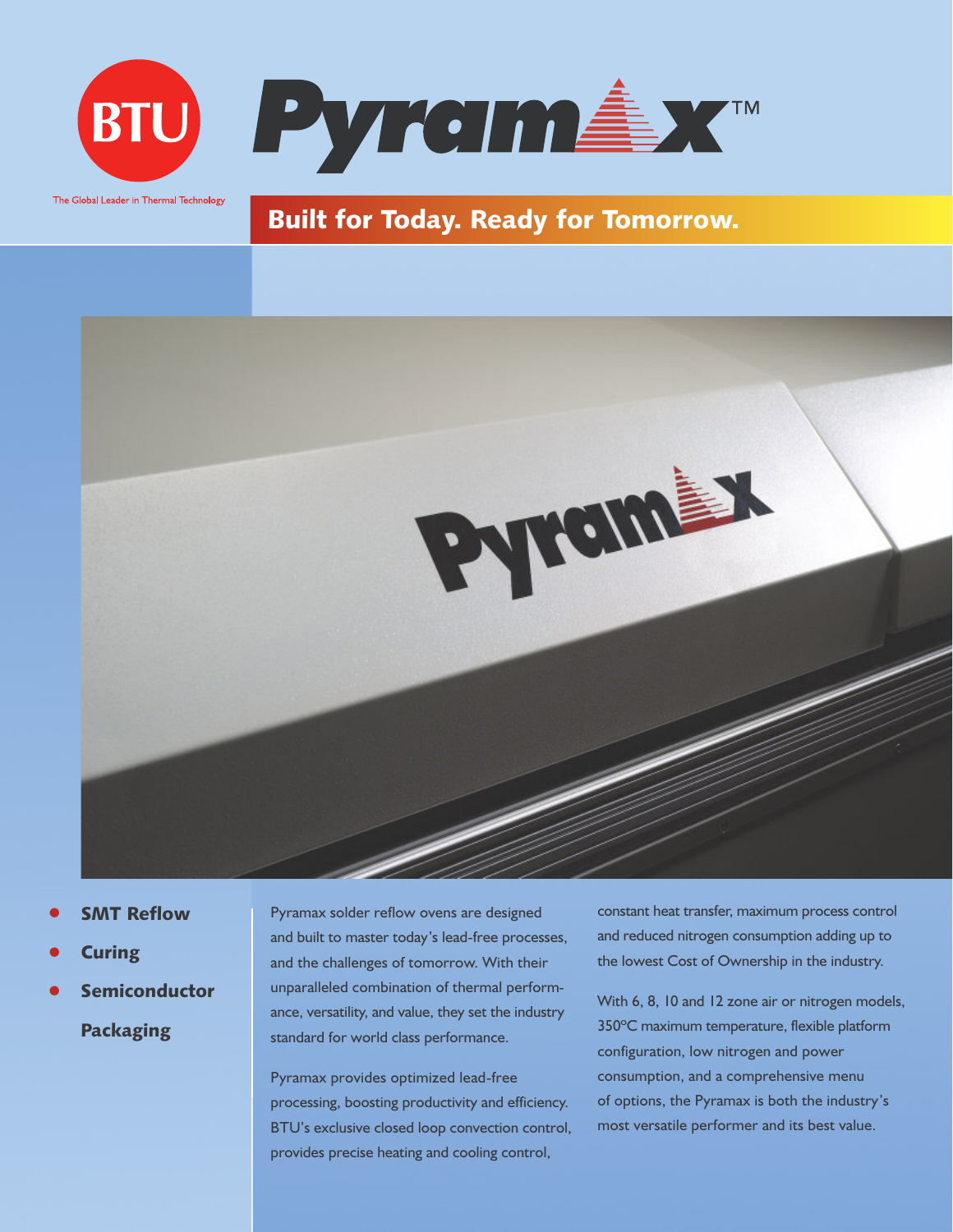

# **Built for Today. Ready for Tomorrow.**



- **• SMT Reflow**
- **• Curing**
- **• Semiconductor Packaging**

Pyramax solder reflow ovens are designed and built to master today's lead-free processes, and the challenges of tomorrow. With their unparalleled combination of thermal performance, versatility, and value, they set the industry standard for world class performance.

Pyramax provides optimized lead-free processing, boosting productivity and efficiency. BTU's exclusive closed loop convection control, provides precise heating and cooling control,

constant heat transfer, maximum process control and reduced nitrogen consumption adding up to the lowest Cost of Ownership in the industry.

With 6, 8, 10 and 12 zone air or nitrogen models, 350ºC maximum temperature, flexible platform configuration, low nitrogen and power consumption, and a comprehensive menu of options, the Pyramax is both the industry's most versatile performer and its best value.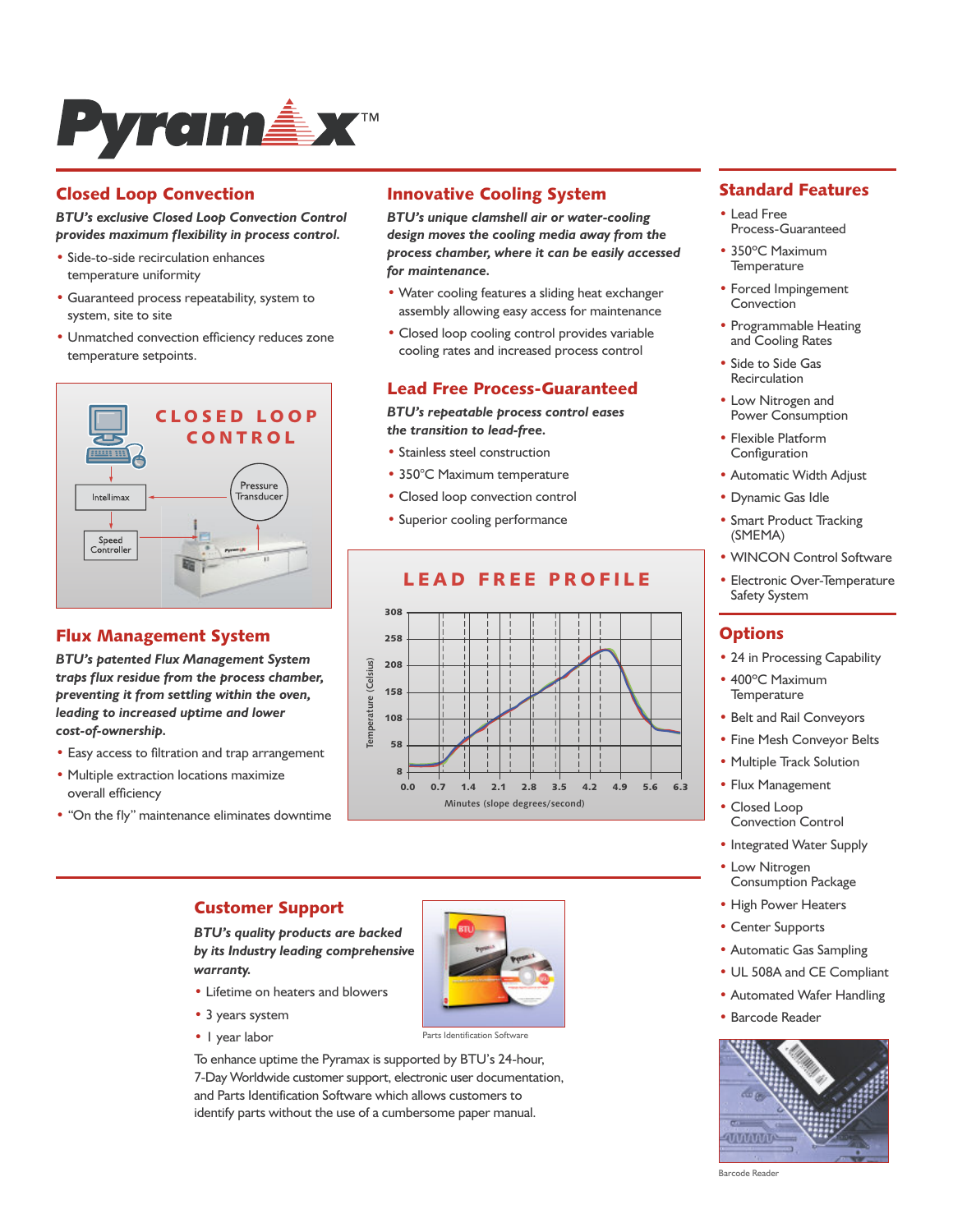

## **Closed Loop Convection**

#### *BTU's exclusive Closed Loop Convection Control provides maximum flexibility in process control.*

- Side-to-side recirculation enhances temperature uniformity
- Guaranteed process repeatability, system to system, site to site
- Unmatched convection efficiency reduces zone temperature setpoints.



#### **Flux Management System**

*BTU's patented Flux Management System traps flux residue from the process chamber, preventing it from settling within the oven, leading to increased uptime and lower cost-of-ownership.*

- Easy access to filtration and trap arrangement
- Multiple extraction locations maximize overall efficiency
- "On the fly" maintenance eliminates downtime

#### **Innovative Cooling System**

*BTU's unique clamshell air or water-cooling design moves the cooling media away from the process chamber, where it can be easily accessed for maintenance.*

- Water cooling features a sliding heat exchanger assembly allowing easy access for maintenance
- Closed loop cooling control provides variable cooling rates and increased process control

#### **Lead Free Process-Guaranteed**

*BTU's repeatable process control eases the transition to lead-free.*

- Stainless steel construction
- 350°C Maximum temperature
- Closed loop convection control
- Superior cooling performance



## **LEAD FREE PROF ILE**

# **Standard Features**

- Lead Free Process-Guaranteed
- 350ºC Maximum **Temperature**
- Forced Impingement Convection
- Programmable Heating and Cooling Rates
- Side to Side Gas Recirculation
- Low Nitrogen and Power Consumption
- Flexible Platform Configuration
- Automatic Width Adjust
- Dynamic Gas Idle
- Smart Product Tracking (SMEMA)
- WINCON Control Software
- Electronic Over-Temperature Safety System

#### **Options**

- 24 in Processing Capability
- 400ºC Maximum **Temperature**
- Belt and Rail Conveyors
- Fine Mesh Conveyor Belts
- Multiple Track Solution
- Flux Management
- Closed Loop Convection Control
- Integrated Water Supply
- Low Nitrogen Consumption Package
- High Power Heaters
- Center Supports
- Automatic Gas Sampling
- UL 508A and CE Compliant
- Automated Wafer Handling
- Barcode Reader



Barcode Reader

#### **Customer Support**

*BTU's quality products are backed by its Industry leading comprehensive warranty.*

- Lifetime on heaters and blowers
- 3 years system
- 1 year labor



Parts Identification Software

To enhance uptime the Pyramax is supported by BTU's 24-hour, 7-Day Worldwide customer support, electronic user documentation, and Parts Identification Software which allows customers to identify parts without the use of a cumbersome paper manual.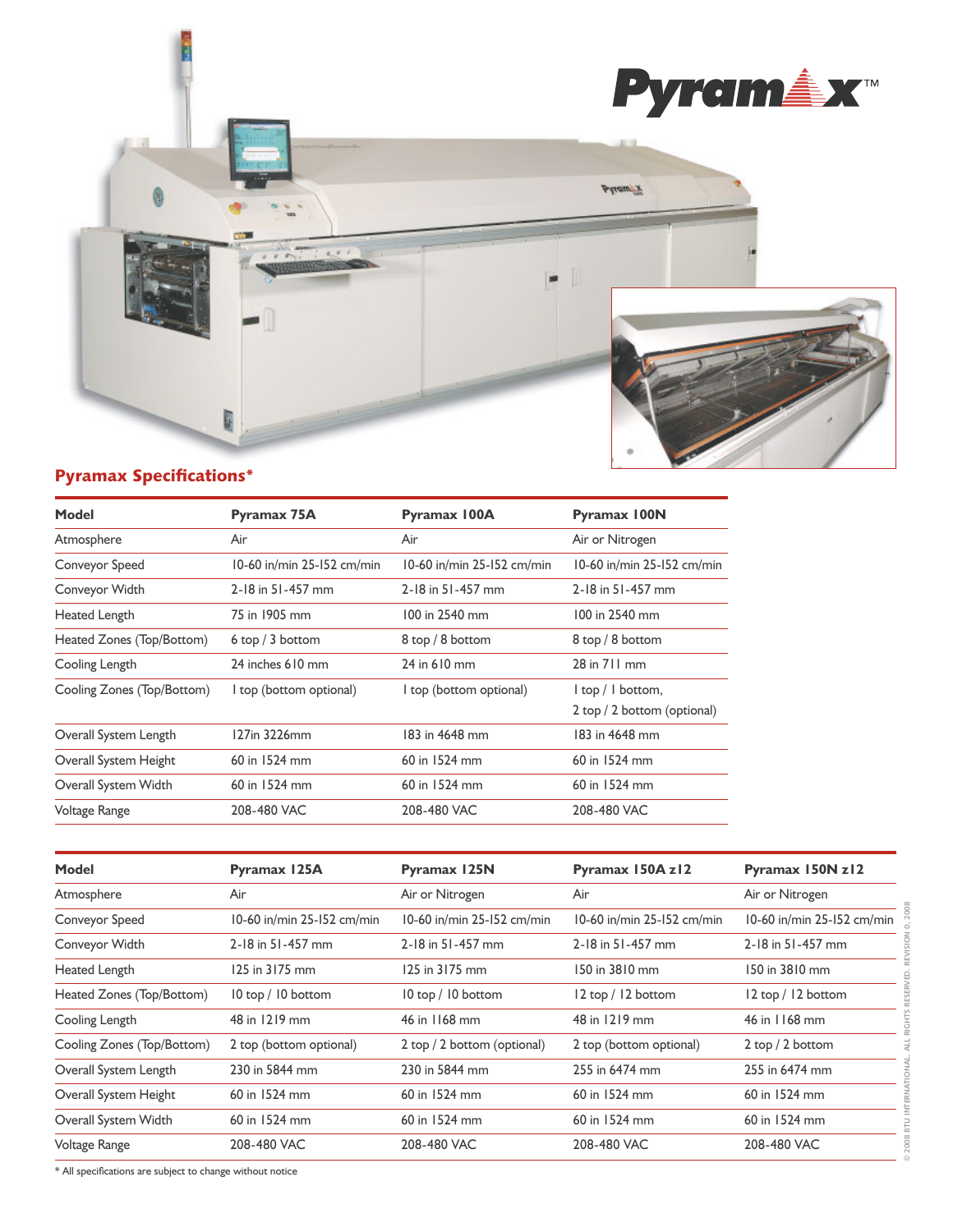

# **Pyramax Specifications\***

| <b>Model</b>               | Pyramax 75A                | Pyramax 100A               | <b>Pyramax 100N</b>         |
|----------------------------|----------------------------|----------------------------|-----------------------------|
| Atmosphere                 | Air                        | Air                        | Air or Nitrogen             |
| Conveyor Speed             | 10-60 in/min 25-152 cm/min | 10-60 in/min 25-152 cm/min | 10-60 in/min 25-152 cm/min  |
| Conveyor Width             | 2-18 in 51-457 mm          | 2-18 in 51-457 mm          | 2-18 in 51-457 mm           |
| Heated Length              | 75 in 1905 mm              | 100 in 2540 mm             | 100 in 2540 mm              |
| Heated Zones (Top/Bottom)  | 6top/3 bottom              | 8 top / 8 bottom           | 8 top / 8 bottom            |
| Cooling Length             | 24 inches 610 mm           | 24 in 610 mm               | 28 in 711 mm                |
| Cooling Zones (Top/Bottom) | I top (bottom optional)    | I top (bottom optional)    | I top / I bottom,           |
|                            |                            |                            | 2 top / 2 bottom (optional) |
| Overall System Length      | 127in 3226mm               | 183 in 4648 mm             | 183 in 4648 mm              |
| Overall System Height      | 60 in 1524 mm              | 60 in 1524 mm              | 60 in 1524 mm               |
| Overall System Width       | 60 in 1524 mm              | 60 in 1524 mm              | 60 in 1524 mm               |
| Voltage Range              | 208-480 VAC                | 208-480 VAC                | 208-480 VAC                 |

| Model                      | Pyramax 125A               | <b>Pyramax 125N</b>         | Pyramax 150A z12           | Pyramax 150N z12           |
|----------------------------|----------------------------|-----------------------------|----------------------------|----------------------------|
| Atmosphere                 | Air                        | Air or Nitrogen             | Air                        | Air or Nitrogen            |
| Conveyor Speed             | 10-60 in/min 25-152 cm/min | 10-60 in/min 25-152 cm/min  | 10-60 in/min 25-152 cm/min | 10-60 in/min 25-152 cm/min |
| Conveyor Width             | 2-18 in 51-457 mm          | 2-18 in 51-457 mm           | 2-18 in 51-457 mm          | 2-18 in 51-457 mm          |
| Heated Length              | 125 in 3175 mm             | 125 in 3175 mm              | 150 in 3810 mm             | 150 in 3810 mm             |
| Heated Zones (Top/Bottom)  | 10 top / 10 bottom         | 10 top / 10 bottom          | 12 top / 12 bottom         | 12 top / 12 bottom         |
| Cooling Length             | 48 in 1219 mm              | 46 in 1168 mm               | 48 in 1219 mm              | 46 in 1168 mm              |
| Cooling Zones (Top/Bottom) | 2 top (bottom optional)    | 2 top / 2 bottom (optional) | 2 top (bottom optional)    | 2 top / 2 bottom           |
| Overall System Length      | 230 in 5844 mm             | 230 in 5844 mm              | 255 in 6474 mm             | 255 in 6474 mm             |
| Overall System Height      | 60 in 1524 mm              | 60 in 1524 mm               | 60 in 1524 mm              | 60 in 1524 mm              |
| Overall System Width       | 60 in 1524 mm              | 60 in 1524 mm               | 60 in 1524 mm              | 60 in 1524 mm              |
| Voltage Range              | 208-480 VAC                | 208-480 VAC                 | 208-480 VAC                | 208-480 VAC                |

\* All specifications are subject to change without notice